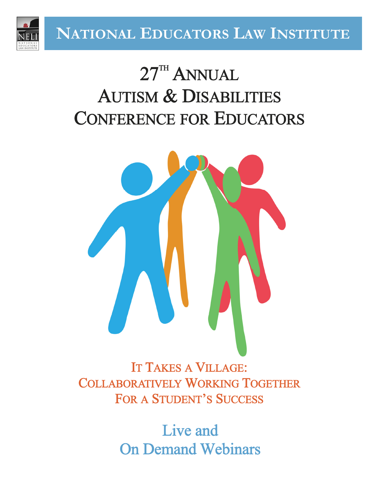

# $27^{\mathrm{th}}$  ANNUAL AUTISM & DISABILITIES CONFERENCE FOR EDUCATORS



IT TAKES A VILLAGE: COLLABORATIVELY WORKING TOGETHER FOR A STUDENT'S SUCCESS

> Live and On Demand Webinars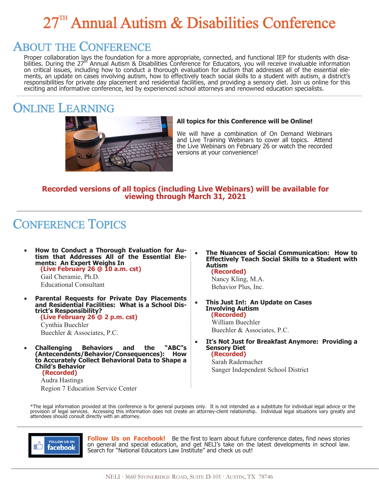# 27<sup>TH</sup> Annual Autism & Disabilities Conference

## ABOUT THE CONFERENCE

Proper collaboration lays the foundation for a more appropriate, connected, and functional IEP for students with disabilities. During the 27<sup>th</sup> Annual Autism & Disabilities Conference for Educators, you will receive invaluable information on critical issues, including how to conduct a thorough evaluation for autism that addresses all of the essential elements, an update on cases involving autism, how to effectively teach social skills to a student with autism, a district's responsibilities for private day placement and residential facilities, and providing a sensory diet. Join us online for this exciting and informative conference, led by experienced school attorneys and renowned education specialists.

### ONLINE LEARNING



#### **All topics for this Conference will be Online!**

We will have a combination of On Demand Webinars and Live Training Webinars to cover all topics. Attend the Live Webinars on February 26 or watch the recorded versions at your convenience!

#### **Recorded versions of all topics (including Live Webinars) will be available for viewing through March 31, 2021**

## CONFERENCE TOPICS

• **How to Conduct a Thorough Evaluation for Au**tism that Addresses All of the Essential Elements: An Expert Weighs In **ments: An Expert Weighs In (Live February 26 @ 10 a.m. cst)** Gail Cheramie, Ph.D.

Educational Consultant

• **Parental Requests for Private Day Placements and Residential Facilities: What is a School District's Responsibility? (Live February 26 @ 2 p.m. cst)** Cynthia Buechler

Buechler & Associates, P.C.

• **Challenging Behaviors and the "ABC"s**  (Antecendents/Behavior/Consequences): **to Accurately Collect Behavioral Data to Shape a Child's Behavior (Recorded)**

Audra Hastings Region 7 Education Service Center • **The Nuances of Social Communication: How to Effectively Teach Social Skills to a Student with Autism (Recorded)**

Nancy Kling, M.A. Behavior Plus, Inc.

- **This Just In!: An Update on Cases Involving Autism (Recorded)** William Buechler Buechler & Associates, P.C.
- **It's Not Just for Breakfast Anymore: Providing a Sensory Diet (Recorded)**

Sarah Rademacher Sanger Independent School District

\*The legal information provided at this conference is for general purposes only. It is not intended as a substitute for individual legal advice or the provision of legal services. Accessing this information does not create an attorney-client relationship. Individual legal situations vary greatly and attendees should consult directly with an attorney.



**Follow Us on Facebook!** Be the first to learn about future conference dates, find news stories on general and special education, and get NELI's take on the latest developments in school law. Search for "National Educators Law Institute" and check us out!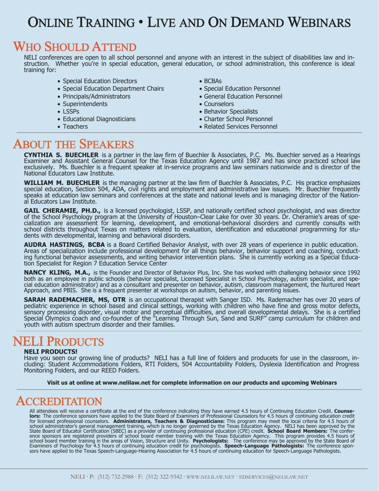## ONLINE TRAINING · LIVE AND ON DEMAND WEBINARS

### WHO SHOULD ATTEND

NELI conferences are open to all school personnel and anyone with an interest in the subject of disabilities law and instruction. Whether you're in special education, general education, or school administration, this conference is ideal training for:

- Special Education Directors
- Special Education Department Chairs
- Principals/Administrators
- Superintendents
- LSSPs
- Educational Diagnosticians
- Teachers
- BCBAs
- Special Education Personnel
- General Education Personnel
- Counselors
- Behavior Specialists
- Charter School Personnel
- Related Services Personnel

#### ABOUT THE SPEAKERS

**CYNTHIA S. BUECHLER** is a partner in the law firm of Buechler & Associates, P.C. Ms. Buechler served as a Hearings Examiner and Assistant General Counsel for the Texas Education Agency until 1987 and has since practiced school law exclusively. Ms. Buechler is a frequent speaker at in-service programs and law seminars nationwide and is director of the National Educators Law Institute.

**WILLIAM M. BUECHLER** is the managing partner at the law firm of Buechler & Associates, P.C. His practice emphasizes special education, Section 504, ADA, civil rights and employment and administrative law issues. Mr. Buechler frequently speaks at education law seminars and conferences at the state and national levels and is managing director of the National Educators Law Institute.

**GAIL CHERAMIE, PH.D.,** is a licensed psychologist, LSSP, and nationally certified school psychologist, and was director of the School Psychology program at the University of Houston–Clear Lake for over 30 years. Dr. Cheramie's areas of specialization are assessment for learning, development, and emotional-behavioral disorders and currently consults with school districts throughout Texas on matters related to evaluation, identification and educational programming for students with developmental, learning and behavioral disorders.

**AUDRA HASTINGS, BCBA** is a Board Certified Behavior Analyst, with over 28 years of experience in public education. Areas of specialization include professional development for all things behavior, behavior support and coaching, conducting functional behavior assessments, and writing behavior intervention plans. She is currently working as a Special Education Specialist for Region 7 Education Service Center

**NANCY KLING, M.A.,** is the Founder and Director of Behavior Plus, Inc. She has worked with challenging behavior since 1992 both as an employee in public schools (behavior specialist, Licensed Specialist in School Psychology, autism specialist, and special education administrator) and as a consultant and presenter on behavior, autism, classroom management, the Nurtured Heart Approach, and PBIS. She is a frequent presenter at workshops on autism, behavior, and parenting issues.

**SARAH RADEMACHER, MS, OTR** is an occupational therapist with Sanger ISD. Ms. Rademacher has over 20 years of pediatric experience in school based and clinical settings, working with children who have fine and gross motor defects, sensory processing disorder, visual motor and perceptual difficulties, and overall developmental delays. She is a certified Special Olympics coach and co-founder of the "Learning Through Sun, Sand and SURF" camp curriculum for children and youth with autism spectrum disorder and their families.

## NELI PRODUCTS

#### **NELI PRODUCTS!**

Have you seen our growing line of products? NELI has a full line of folders and producets for use in the classroom, including: Student Accommodations Folders, RTI Folders, 504 Accountability Folders, Dyslexia Identification and Progress Monitoring Folders, and our REED Folders.

**Visit us at online at www.nelilaw.net for complete information on our products and upcoming Webinars** 

### ACCREDITATION

All attendees will receive a certificate at the end of the conference indicating they have earned 4.5 hours of Continuing Education Credit. Counse-<br>lors: The conference sponsors have applied to the State Board of Examiners for licensed professional counselors. **Administrators, Teachers & Diagnosticians:** This program may meet the local criteria for 4.5 hours of<br>school administrator's general management training, which is no longer governed b ence sponsors are registered providers of school board member training with the Texas Education Agency. This program provides 4.5 hours of<br>school board member training in the areas of Vision, Structure and Unity. Psycholog Examiners of Psychology for 4.5 hours of continuing education credit for psychologists. **Speech-Language Pathologists:** The conference sponsors have applied to the Texas Speech-Language-Hearing Association for 4.5 hours of continuing education for Speech-Language Pathologists.